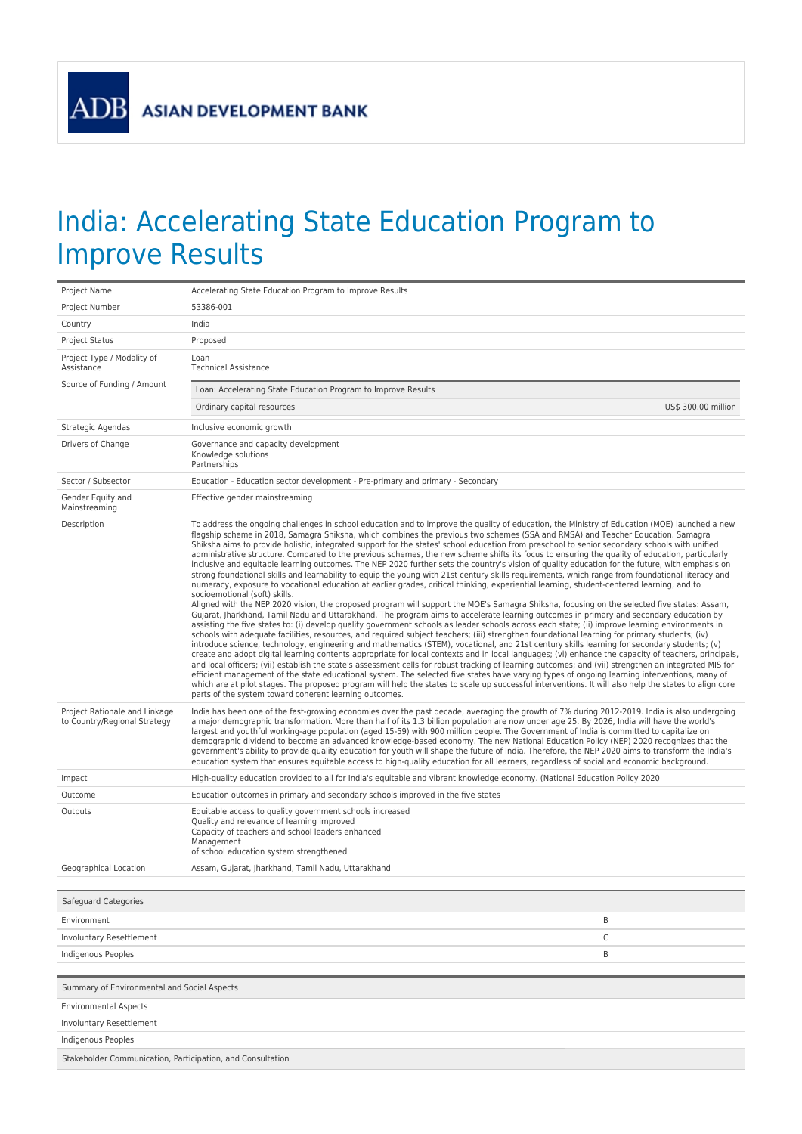## India: Accelerating State Education Program to Improve Results

| Project Name                                                  | Accelerating State Education Program to Improve Results                                                                                                                                                                                                                                                                                                                                                                                                                                                                                                                                                                                                                                                                                                                                                                                                                                                                                                                                                                                                                                                                                                                                                                                                                                                                                                                                                                                                                                                                                                                                                                                                                                                                                                                                                                                                                                                                                                                                                                                                                                                                                                                                                                                                                                                                                                                                                                                                                                                  |                     |  |  |
|---------------------------------------------------------------|----------------------------------------------------------------------------------------------------------------------------------------------------------------------------------------------------------------------------------------------------------------------------------------------------------------------------------------------------------------------------------------------------------------------------------------------------------------------------------------------------------------------------------------------------------------------------------------------------------------------------------------------------------------------------------------------------------------------------------------------------------------------------------------------------------------------------------------------------------------------------------------------------------------------------------------------------------------------------------------------------------------------------------------------------------------------------------------------------------------------------------------------------------------------------------------------------------------------------------------------------------------------------------------------------------------------------------------------------------------------------------------------------------------------------------------------------------------------------------------------------------------------------------------------------------------------------------------------------------------------------------------------------------------------------------------------------------------------------------------------------------------------------------------------------------------------------------------------------------------------------------------------------------------------------------------------------------------------------------------------------------------------------------------------------------------------------------------------------------------------------------------------------------------------------------------------------------------------------------------------------------------------------------------------------------------------------------------------------------------------------------------------------------------------------------------------------------------------------------------------------------|---------------------|--|--|
| Project Number                                                | 53386-001                                                                                                                                                                                                                                                                                                                                                                                                                                                                                                                                                                                                                                                                                                                                                                                                                                                                                                                                                                                                                                                                                                                                                                                                                                                                                                                                                                                                                                                                                                                                                                                                                                                                                                                                                                                                                                                                                                                                                                                                                                                                                                                                                                                                                                                                                                                                                                                                                                                                                                |                     |  |  |
| Country                                                       | India                                                                                                                                                                                                                                                                                                                                                                                                                                                                                                                                                                                                                                                                                                                                                                                                                                                                                                                                                                                                                                                                                                                                                                                                                                                                                                                                                                                                                                                                                                                                                                                                                                                                                                                                                                                                                                                                                                                                                                                                                                                                                                                                                                                                                                                                                                                                                                                                                                                                                                    |                     |  |  |
| Project Status                                                | Proposed                                                                                                                                                                                                                                                                                                                                                                                                                                                                                                                                                                                                                                                                                                                                                                                                                                                                                                                                                                                                                                                                                                                                                                                                                                                                                                                                                                                                                                                                                                                                                                                                                                                                                                                                                                                                                                                                                                                                                                                                                                                                                                                                                                                                                                                                                                                                                                                                                                                                                                 |                     |  |  |
| Project Type / Modality of<br>Assistance                      | Loan<br><b>Technical Assistance</b>                                                                                                                                                                                                                                                                                                                                                                                                                                                                                                                                                                                                                                                                                                                                                                                                                                                                                                                                                                                                                                                                                                                                                                                                                                                                                                                                                                                                                                                                                                                                                                                                                                                                                                                                                                                                                                                                                                                                                                                                                                                                                                                                                                                                                                                                                                                                                                                                                                                                      |                     |  |  |
| Source of Funding / Amount                                    | Loan: Accelerating State Education Program to Improve Results                                                                                                                                                                                                                                                                                                                                                                                                                                                                                                                                                                                                                                                                                                                                                                                                                                                                                                                                                                                                                                                                                                                                                                                                                                                                                                                                                                                                                                                                                                                                                                                                                                                                                                                                                                                                                                                                                                                                                                                                                                                                                                                                                                                                                                                                                                                                                                                                                                            |                     |  |  |
|                                                               | Ordinary capital resources                                                                                                                                                                                                                                                                                                                                                                                                                                                                                                                                                                                                                                                                                                                                                                                                                                                                                                                                                                                                                                                                                                                                                                                                                                                                                                                                                                                                                                                                                                                                                                                                                                                                                                                                                                                                                                                                                                                                                                                                                                                                                                                                                                                                                                                                                                                                                                                                                                                                               | US\$ 300.00 million |  |  |
| Strategic Agendas                                             | Inclusive economic growth                                                                                                                                                                                                                                                                                                                                                                                                                                                                                                                                                                                                                                                                                                                                                                                                                                                                                                                                                                                                                                                                                                                                                                                                                                                                                                                                                                                                                                                                                                                                                                                                                                                                                                                                                                                                                                                                                                                                                                                                                                                                                                                                                                                                                                                                                                                                                                                                                                                                                |                     |  |  |
| Drivers of Change                                             | Governance and capacity development<br>Knowledge solutions<br>Partnerships                                                                                                                                                                                                                                                                                                                                                                                                                                                                                                                                                                                                                                                                                                                                                                                                                                                                                                                                                                                                                                                                                                                                                                                                                                                                                                                                                                                                                                                                                                                                                                                                                                                                                                                                                                                                                                                                                                                                                                                                                                                                                                                                                                                                                                                                                                                                                                                                                               |                     |  |  |
| Sector / Subsector                                            | Education - Education sector development - Pre-primary and primary - Secondary                                                                                                                                                                                                                                                                                                                                                                                                                                                                                                                                                                                                                                                                                                                                                                                                                                                                                                                                                                                                                                                                                                                                                                                                                                                                                                                                                                                                                                                                                                                                                                                                                                                                                                                                                                                                                                                                                                                                                                                                                                                                                                                                                                                                                                                                                                                                                                                                                           |                     |  |  |
| Gender Equity and<br>Mainstreaming                            | Effective gender mainstreaming                                                                                                                                                                                                                                                                                                                                                                                                                                                                                                                                                                                                                                                                                                                                                                                                                                                                                                                                                                                                                                                                                                                                                                                                                                                                                                                                                                                                                                                                                                                                                                                                                                                                                                                                                                                                                                                                                                                                                                                                                                                                                                                                                                                                                                                                                                                                                                                                                                                                           |                     |  |  |
| Description                                                   | To address the ongoing challenges in school education and to improve the quality of education, the Ministry of Education (MOE) launched a new<br>flagship scheme in 2018, Samagra Shiksha, which combines the previous two schemes (SSA and RMSA) and Teacher Education. Samagra<br>Shiksha aims to provide holistic, integrated support for the states' school education from preschool to senior secondary schools with unified<br>administrative structure. Compared to the previous schemes, the new scheme shifts its focus to ensuring the quality of education, particularly<br>inclusive and equitable learning outcomes. The NEP 2020 further sets the country's vision of quality education for the future, with emphasis on<br>strong foundational skills and learnability to equip the young with 21st century skills requirements, which range from foundational literacy and<br>numeracy, exposure to vocational education at earlier grades, critical thinking, experiential learning, student-centered learning, and to<br>socioemotional (soft) skills.<br>Aligned with the NEP 2020 vision, the proposed program will support the MOE's Samagra Shiksha, focusing on the selected five states: Assam,<br>Gujarat, Jharkhand, Tamil Nadu and Uttarakhand. The program aims to accelerate learning outcomes in primary and secondary education by<br>assisting the five states to: (i) develop quality government schools as leader schools across each state; (ii) improve learning environments in<br>schools with adequate facilities, resources, and required subject teachers; (iii) strengthen foundational learning for primary students; (iv)<br>introduce science, technology, engineering and mathematics (STEM), vocational, and 21st century skills learning for secondary students; (v)<br>create and adopt digital learning contents appropriate for local contexts and in local languages; (vi) enhance the capacity of teachers, principals,<br>and local officers; (vii) establish the state's assessment cells for robust tracking of learning outcomes; and (vii) strengthen an integrated MIS for<br>efficient management of the state educational system. The selected five states have varying types of ongoing learning interventions, many of<br>which are at pilot stages. The proposed program will help the states to scale up successful interventions. It will also help the states to align core<br>parts of the system toward coherent learning outcomes. |                     |  |  |
| Project Rationale and Linkage<br>to Country/Regional Strategy | India has been one of the fast-growing economies over the past decade, averaging the growth of 7% during 2012-2019. India is also undergoing<br>a major demographic transformation. More than half of its 1.3 billion population are now under age 25. By 2026, India will have the world's<br>largest and youthful working-age population (aged 15-59) with 900 million people. The Government of India is committed to capitalize on<br>demographic dividend to become an advanced knowledge-based economy. The new National Education Policy (NEP) 2020 recognizes that the<br>government's ability to provide quality education for youth will shape the future of India. Therefore, the NEP 2020 aims to transform the India's<br>education system that ensures equitable access to high-quality education for all learners, regardless of social and economic background.                                                                                                                                                                                                                                                                                                                                                                                                                                                                                                                                                                                                                                                                                                                                                                                                                                                                                                                                                                                                                                                                                                                                                                                                                                                                                                                                                                                                                                                                                                                                                                                                                          |                     |  |  |
| Impact                                                        | High-quality education provided to all for India's equitable and vibrant knowledge economy. (National Education Policy 2020                                                                                                                                                                                                                                                                                                                                                                                                                                                                                                                                                                                                                                                                                                                                                                                                                                                                                                                                                                                                                                                                                                                                                                                                                                                                                                                                                                                                                                                                                                                                                                                                                                                                                                                                                                                                                                                                                                                                                                                                                                                                                                                                                                                                                                                                                                                                                                              |                     |  |  |
| Outcome                                                       | Education outcomes in primary and secondary schools improved in the five states                                                                                                                                                                                                                                                                                                                                                                                                                                                                                                                                                                                                                                                                                                                                                                                                                                                                                                                                                                                                                                                                                                                                                                                                                                                                                                                                                                                                                                                                                                                                                                                                                                                                                                                                                                                                                                                                                                                                                                                                                                                                                                                                                                                                                                                                                                                                                                                                                          |                     |  |  |
| Outputs                                                       | Equitable access to quality government schools increased<br>Quality and relevance of learning improved<br>Capacity of teachers and school leaders enhanced<br>Management<br>of school education system strengthened                                                                                                                                                                                                                                                                                                                                                                                                                                                                                                                                                                                                                                                                                                                                                                                                                                                                                                                                                                                                                                                                                                                                                                                                                                                                                                                                                                                                                                                                                                                                                                                                                                                                                                                                                                                                                                                                                                                                                                                                                                                                                                                                                                                                                                                                                      |                     |  |  |
| Geographical Location                                         | Assam, Gujarat, Jharkhand, Tamil Nadu, Uttarakhand                                                                                                                                                                                                                                                                                                                                                                                                                                                                                                                                                                                                                                                                                                                                                                                                                                                                                                                                                                                                                                                                                                                                                                                                                                                                                                                                                                                                                                                                                                                                                                                                                                                                                                                                                                                                                                                                                                                                                                                                                                                                                                                                                                                                                                                                                                                                                                                                                                                       |                     |  |  |
|                                                               |                                                                                                                                                                                                                                                                                                                                                                                                                                                                                                                                                                                                                                                                                                                                                                                                                                                                                                                                                                                                                                                                                                                                                                                                                                                                                                                                                                                                                                                                                                                                                                                                                                                                                                                                                                                                                                                                                                                                                                                                                                                                                                                                                                                                                                                                                                                                                                                                                                                                                                          |                     |  |  |
| Safeguard Categories                                          |                                                                                                                                                                                                                                                                                                                                                                                                                                                                                                                                                                                                                                                                                                                                                                                                                                                                                                                                                                                                                                                                                                                                                                                                                                                                                                                                                                                                                                                                                                                                                                                                                                                                                                                                                                                                                                                                                                                                                                                                                                                                                                                                                                                                                                                                                                                                                                                                                                                                                                          |                     |  |  |
| Environment                                                   | Β                                                                                                                                                                                                                                                                                                                                                                                                                                                                                                                                                                                                                                                                                                                                                                                                                                                                                                                                                                                                                                                                                                                                                                                                                                                                                                                                                                                                                                                                                                                                                                                                                                                                                                                                                                                                                                                                                                                                                                                                                                                                                                                                                                                                                                                                                                                                                                                                                                                                                                        |                     |  |  |
| <b>Involuntary Resettlement</b>                               | C                                                                                                                                                                                                                                                                                                                                                                                                                                                                                                                                                                                                                                                                                                                                                                                                                                                                                                                                                                                                                                                                                                                                                                                                                                                                                                                                                                                                                                                                                                                                                                                                                                                                                                                                                                                                                                                                                                                                                                                                                                                                                                                                                                                                                                                                                                                                                                                                                                                                                                        |                     |  |  |
| Indigenous Peoples                                            | B                                                                                                                                                                                                                                                                                                                                                                                                                                                                                                                                                                                                                                                                                                                                                                                                                                                                                                                                                                                                                                                                                                                                                                                                                                                                                                                                                                                                                                                                                                                                                                                                                                                                                                                                                                                                                                                                                                                                                                                                                                                                                                                                                                                                                                                                                                                                                                                                                                                                                                        |                     |  |  |
|                                                               |                                                                                                                                                                                                                                                                                                                                                                                                                                                                                                                                                                                                                                                                                                                                                                                                                                                                                                                                                                                                                                                                                                                                                                                                                                                                                                                                                                                                                                                                                                                                                                                                                                                                                                                                                                                                                                                                                                                                                                                                                                                                                                                                                                                                                                                                                                                                                                                                                                                                                                          |                     |  |  |
| Summary of Environmental and Social Aspects                   |                                                                                                                                                                                                                                                                                                                                                                                                                                                                                                                                                                                                                                                                                                                                                                                                                                                                                                                                                                                                                                                                                                                                                                                                                                                                                                                                                                                                                                                                                                                                                                                                                                                                                                                                                                                                                                                                                                                                                                                                                                                                                                                                                                                                                                                                                                                                                                                                                                                                                                          |                     |  |  |
| <b>Environmental Aspects</b>                                  |                                                                                                                                                                                                                                                                                                                                                                                                                                                                                                                                                                                                                                                                                                                                                                                                                                                                                                                                                                                                                                                                                                                                                                                                                                                                                                                                                                                                                                                                                                                                                                                                                                                                                                                                                                                                                                                                                                                                                                                                                                                                                                                                                                                                                                                                                                                                                                                                                                                                                                          |                     |  |  |
| Involuntary Resettlement                                      |                                                                                                                                                                                                                                                                                                                                                                                                                                                                                                                                                                                                                                                                                                                                                                                                                                                                                                                                                                                                                                                                                                                                                                                                                                                                                                                                                                                                                                                                                                                                                                                                                                                                                                                                                                                                                                                                                                                                                                                                                                                                                                                                                                                                                                                                                                                                                                                                                                                                                                          |                     |  |  |
| <b>Indigenous Peoples</b>                                     |                                                                                                                                                                                                                                                                                                                                                                                                                                                                                                                                                                                                                                                                                                                                                                                                                                                                                                                                                                                                                                                                                                                                                                                                                                                                                                                                                                                                                                                                                                                                                                                                                                                                                                                                                                                                                                                                                                                                                                                                                                                                                                                                                                                                                                                                                                                                                                                                                                                                                                          |                     |  |  |
| Stakeholder Communication, Participation, and Consultation    |                                                                                                                                                                                                                                                                                                                                                                                                                                                                                                                                                                                                                                                                                                                                                                                                                                                                                                                                                                                                                                                                                                                                                                                                                                                                                                                                                                                                                                                                                                                                                                                                                                                                                                                                                                                                                                                                                                                                                                                                                                                                                                                                                                                                                                                                                                                                                                                                                                                                                                          |                     |  |  |